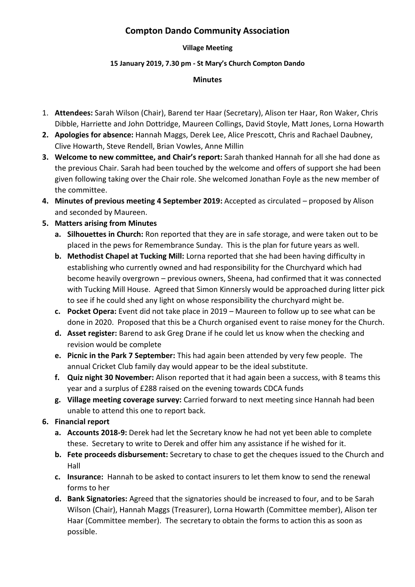# **Compton Dando Community Association**

#### **Village Meeting**

#### **15 January 2019, 7.30 pm - St Mary's Church Compton Dando**

#### **Minutes**

- 1. **Attendees:** Sarah Wilson (Chair), Barend ter Haar (Secretary), Alison ter Haar, Ron Waker, Chris Dibble, Harriette and John Dottridge, Maureen Collings, David Stoyle, Matt Jones, Lorna Howarth
- **2. Apologies for absence:** Hannah Maggs, Derek Lee, Alice Prescott, Chris and Rachael Daubney, Clive Howarth, Steve Rendell, Brian Vowles, Anne Millin
- **3. Welcome to new committee, and Chair's report:** Sarah thanked Hannah for all she had done as the previous Chair. Sarah had been touched by the welcome and offers of support she had been given following taking over the Chair role. She welcomed Jonathan Foyle as the new member of the committee.
- **4. Minutes of previous meeting 4 September 2019:** Accepted as circulated proposed by Alison and seconded by Maureen.
- **5. Matters arising from Minutes**
	- **a. Silhouettes in Church:** Ron reported that they are in safe storage, and were taken out to be placed in the pews for Remembrance Sunday. This is the plan for future years as well.
	- **b. Methodist Chapel at Tucking Mill:** Lorna reported that she had been having difficulty in establishing who currently owned and had responsibility for the Churchyard which had become heavily overgrown – previous owners, Sheena, had confirmed that it was connected with Tucking Mill House. Agreed that Simon Kinnersly would be approached during litter pick to see if he could shed any light on whose responsibility the churchyard might be.
	- **c. Pocket Opera:** Event did not take place in 2019 Maureen to follow up to see what can be done in 2020. Proposed that this be a Church organised event to raise money for the Church.
	- **d. Asset register:** Barend to ask Greg Drane if he could let us know when the checking and revision would be complete
	- **e. Picnic in the Park 7 September:** This had again been attended by very few people. The annual Cricket Club family day would appear to be the ideal substitute.
	- **f. Quiz night 30 November:** Alison reported that it had again been a success, with 8 teams this year and a surplus of £288 raised on the evening towards CDCA funds
	- **g. Village meeting coverage survey:** Carried forward to next meeting since Hannah had been unable to attend this one to report back.
- **6. Financial report**
	- **a. Accounts 2018-9:** Derek had let the Secretary know he had not yet been able to complete these. Secretary to write to Derek and offer him any assistance if he wished for it.
	- **b. Fete proceeds disbursement:** Secretary to chase to get the cheques issued to the Church and Hall
	- **c. Insurance:** Hannah to be asked to contact insurers to let them know to send the renewal forms to her
	- **d. Bank Signatories:** Agreed that the signatories should be increased to four, and to be Sarah Wilson (Chair), Hannah Maggs (Treasurer), Lorna Howarth (Committee member), Alison ter Haar (Committee member). The secretary to obtain the forms to action this as soon as possible.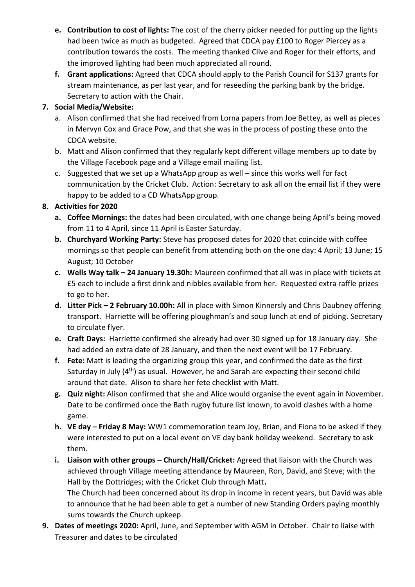- **e. Contribution to cost of lights:** The cost of the cherry picker needed for putting up the lights had been twice as much as budgeted. Agreed that CDCA pay £100 to Roger Piercey as a contribution towards the costs. The meeting thanked Clive and Roger for their efforts, and the improved lighting had been much appreciated all round.
- **f. Grant applications:** Agreed that CDCA should apply to the Parish Council for S137 grants for stream maintenance, as per last year, and for reseeding the parking bank by the bridge. Secretary to action with the Chair.

### **7. Social Media/Website:**

- a. Alison confirmed that she had received from Lorna papers from Joe Bettey, as well as pieces in Mervyn Cox and Grace Pow, and that she was in the process of posting these onto the CDCA website.
- b. Matt and Alison confirmed that they regularly kept different village members up to date by the Village Facebook page and a Village email mailing list.
- c. Suggested that we set up a WhatsApp group as well since this works well for fact communication by the Cricket Club. Action: Secretary to ask all on the email list if they were happy to be added to a CD WhatsApp group.

## **8. Activities for 2020**

- **a. Coffee Mornings:** the dates had been circulated, with one change being April's being moved from 11 to 4 April, since 11 April is Easter Saturday.
- **b. Churchyard Working Party:** Steve has proposed dates for 2020 that coincide with coffee mornings so that people can benefit from attending both on the one day: 4 April; 13 June; 15 August; 10 October
- **c. Wells Way talk – 24 January 19.30h:** Maureen confirmed that all was in place with tickets at £5 each to include a first drink and nibbles available from her. Requested extra raffle prizes to go to her.
- **d. Litter Pick – 2 February 10.00h:** All in place with Simon Kinnersly and Chris Daubney offering transport. Harriette will be offering ploughman's and soup lunch at end of picking. Secretary to circulate flyer.
- **e. Craft Days:** Harriette confirmed she already had over 30 signed up for 18 January day. She had added an extra date of 28 January, and then the next event will be 17 February.
- **f. Fete:** Matt is leading the organizing group this year, and confirmed the date as the first Saturday in July  $(4<sup>th</sup>)$  as usual. However, he and Sarah are expecting their second child around that date. Alison to share her fete checklist with Matt.
- **g. Quiz night:** Alison confirmed that she and Alice would organise the event again in November. Date to be confirmed once the Bath rugby future list known, to avoid clashes with a home game.
- **h. VE day – Friday 8 May:** WW1 commemoration team Joy, Brian, and Fiona to be asked if they were interested to put on a local event on VE day bank holiday weekend.Secretary to ask them.
- **i.** Liaison with other groups Church/Hall/Cricket: Agreed that liaison with the Church was achieved through Village meeting attendance by Maureen, Ron, David, and Steve; with the Hall by the Dottridges; with the Cricket Club through Matt**.**  The Church had been concerned about its drop in income in recent years, but David was able to announce that he had been able to get a number of new Standing Orders paying monthly sums towards the Church upkeep.
- **9. Dates of meetings 2020:** April, June, and September with AGM in October. Chair to liaise with Treasurer and dates to be circulated